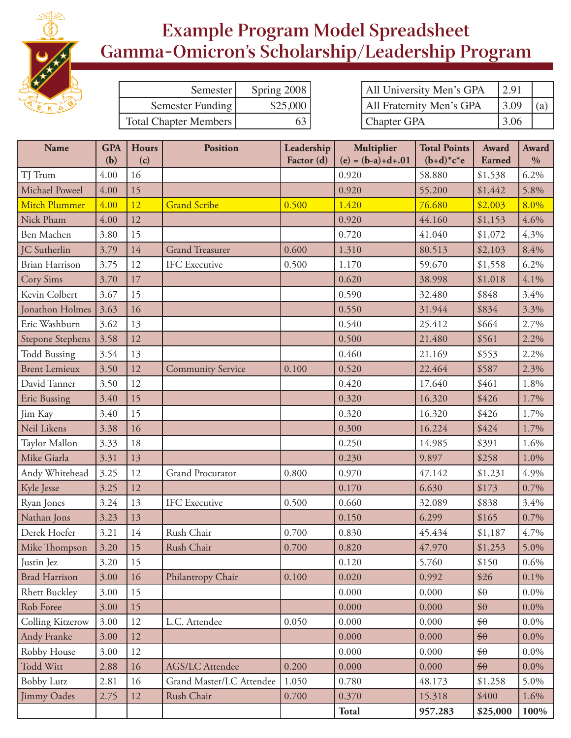

## **Example Program Model Spreadsheet Gamma-Omicron's Scholarship/Leadership Program**

| Semester                     | Spring 2008 | 2.91<br>All University Men's GPA        |  |
|------------------------------|-------------|-----------------------------------------|--|
| Semester Funding             | \$25,000    | <b>All Fraternity Men's GPA</b><br>3.09 |  |
| <b>Total Chapter Members</b> |             | 3.06<br><b>Chapter GPA</b>              |  |

| <b>Name</b>             | <b>GPA</b><br>(b) | <b>Hours</b><br>(c) | <b>Position</b>          | Leadership<br>Factor (d) | Multiplier<br>$(e) = (b-a)+d+.01$ | <b>Total Points</b><br>$(b+d)*c*e$ | Award<br>Earned | <b>Award</b><br>$\frac{0}{0}$ |
|-------------------------|-------------------|---------------------|--------------------------|--------------------------|-----------------------------------|------------------------------------|-----------------|-------------------------------|
| TJ Trum                 | 4.00              | 16                  |                          |                          | 0.920                             | 58.880                             | \$1,538         | 6.2%                          |
| Michael Poweel          | 4.00              | 15                  |                          |                          | 0.920                             | 55.200                             | \$1,442         | 5.8%                          |
| <b>Mitch Plummer</b>    | 4.00              | 12                  | <b>Grand Scribe</b>      | 0.500                    | 1.420                             | 76.680                             | \$2,003         | 8.0%                          |
| Nick Pham               | 4.00              | 12                  |                          |                          | 0.920                             | 44.160                             | \$1,153         | 4.6%                          |
| Ben Machen              | 3.80              | 15                  |                          |                          | 0.720                             | 41.040                             | \$1,072         | 4.3%                          |
| JC Sutherlin            | 3.79              | 14                  | <b>Grand Treasurer</b>   | 0.600                    | 1.310                             | 80.513                             | \$2,103         | 8.4%                          |
| <b>Brian Harrison</b>   | 3.75              | 12                  | <b>IFC</b> Executive     | 0.500                    | 1.170                             | 59.670                             | \$1,558         | 6.2%                          |
| <b>Cory Sims</b>        | 3.70              | 17                  |                          |                          | 0.620                             | 38.998                             | \$1,018         | 4.1%                          |
| Kevin Colbert           | 3.67              | 15                  |                          |                          | 0.590                             | 32.480                             | \$848           | 3.4%                          |
| Jonathon Holmes         | 3.63              | 16                  |                          |                          | 0.550                             | 31.944                             | \$834           | 3.3%                          |
| Eric Washburn           | 3.62              | 13                  |                          |                          | 0.540                             | 25.412                             | \$664           | 2.7%                          |
| <b>Stepone Stephens</b> | 3.58              | 12                  |                          |                          | 0.500                             | 21.480                             | \$561           | 2.2%                          |
| <b>Todd Bussing</b>     | 3.54              | 13                  |                          |                          | 0.460                             | 21.169                             | \$553           | 2.2%                          |
| <b>Brent Lemieux</b>    | 3.50              | 12                  | <b>Community Service</b> | 0.100                    | 0.520                             | 22.464                             | \$587           | 2.3%                          |
| David Tanner            | 3.50              | 12                  |                          |                          | 0.420                             | 17.640                             | \$461           | 1.8%                          |
| <b>Eric Bussing</b>     | 3.40              | 15                  |                          |                          | 0.320                             | 16.320                             | \$426           | 1.7%                          |
| Jim Kay                 | 3.40              | 15                  |                          |                          | 0.320                             | 16.320                             | \$426           | 1.7%                          |
| Neil Likens             | 3.38              | 16                  |                          |                          | 0.300                             | 16.224                             | \$424           | 1.7%                          |
| Taylor Mallon           | 3.33              | 18                  |                          |                          | 0.250                             | 14.985                             | \$391           | 1.6%                          |
| Mike Giarla             | 3.31              | 13                  |                          |                          | 0.230                             | 9.897                              | \$258           | 1.0%                          |
| Andy Whitehead          | 3.25              | 12                  | <b>Grand Procurator</b>  | 0.800                    | 0.970                             | 47.142                             | \$1,231         | 4.9%                          |
| Kyle Jesse              | 3.25              | 12                  |                          |                          | 0.170                             | 6.630                              | \$173           | 0.7%                          |
| Ryan Jones              | 3.24              | 13                  | <b>IFC</b> Executive     | 0.500                    | 0.660                             | 32.089                             | \$838           | 3.4%                          |
| Nathan Jons             | 3.23              | 13                  |                          |                          | 0.150                             | 6.299                              | \$165           | 0.7%                          |
| Derek Hoefer            | 3.21              | 14                  | Rush Chair               | 0.700                    | 0.830                             | 45.434                             | \$1,187         | 4.7%                          |
| Mike Thompson           | 3.20              | 15                  | Rush Chair               | 0.700                    | 0.820                             | 47.970                             | \$1,253         | 5.0%                          |
| Justin Jez              | 3.20              | 15                  |                          |                          | 0.120                             | 5.760                              | \$150           | 0.6%                          |
| <b>Brad Harrison</b>    | 3.00              | 16                  | Philantropy Chair        | 0.100                    | 0.020                             | 0.992                              | \$26            | $0.1\%$                       |
| <b>Rhett Buckley</b>    | 3.00              | 15                  |                          |                          | 0.000                             | 0.000                              | $\frac{6}{9}$   | $0.0\%$                       |
| Rob Foree               | 3.00              | 15                  |                          |                          | 0.000                             | 0.000                              | $\frac{6}{90}$  | $0.0\%$                       |
| Colling Kitzerow        | 3.00              | 12                  | L.C. Attendee            | 0.050                    | 0.000                             | 0.000                              | $\frac{4}{9}$   | $0.0\%$                       |
| Andy Franke             | 3.00              | 12                  |                          |                          | 0.000                             | 0.000                              | $\frac{4}{9}$   | $0.0\%$                       |
| Robby House             | 3.00              | 12                  |                          |                          | 0.000                             | 0.000                              | $\frac{6}{9}$   | $0.0\%$                       |
| Todd Witt               | 2.88              | 16                  | <b>AGS/LC Attendee</b>   | 0.200                    | 0.000                             | 0.000                              | $\frac{4}{90}$  | $0.0\%$                       |
| <b>Bobby Lutz</b>       | 2.81              | 16                  | Grand Master/LC Attendee | 1.050                    | 0.780                             | 48.173                             | \$1,258         | 5.0%                          |
| Jimmy Oades             | 2.75              | 12                  | Rush Chair               | 0.700                    | 0.370                             | 15.318                             | \$400           | 1.6%                          |
|                         |                   |                     |                          |                          | Total                             | 957.283                            | \$25,000        | 100%                          |